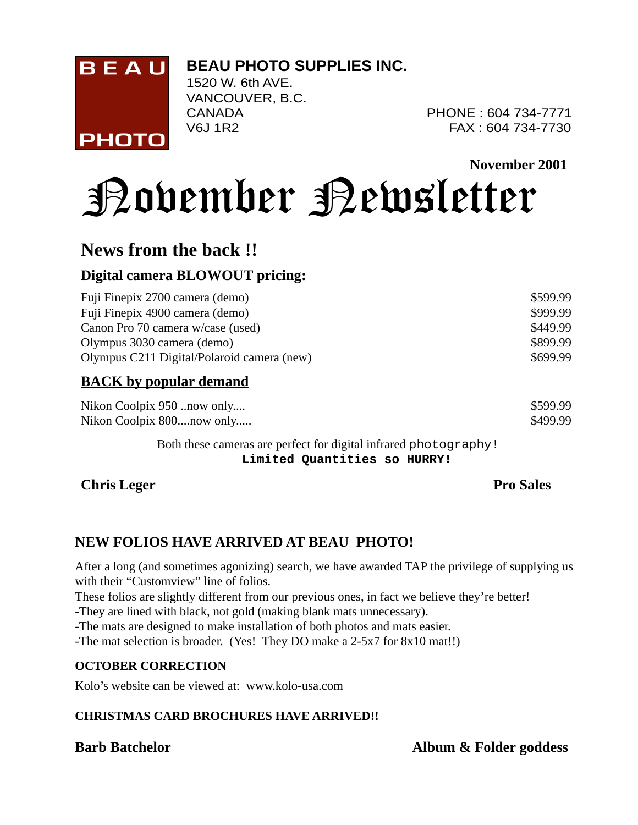#### **BEAU PHOTO SUPPLIES INC.**



1520 W. 6th AVE. VANCOUVER, B.C.

CANADA PHONE : 604 734-7771 V6J 1R2 FAX : 604 734-7730

**November 2001**

# November Newsletter

### **News from the back !!**

#### **Digital camera BLOWOUT pricing:**

| Fuji Finepix 2700 camera (demo)            | \$599.99 |
|--------------------------------------------|----------|
| Fuji Finepix 4900 camera (demo)            | \$999.99 |
| Canon Pro 70 camera w/case (used)          | \$449.99 |
| Olympus 3030 camera (demo)                 | \$899.99 |
| Olympus C211 Digital/Polaroid camera (new) | \$699.99 |
| <b>BACK</b> by popular demand              |          |
| Nikon Coolpix 950 now only                 | \$599.99 |

Both these cameras are perfect for digital infrared photography! **Limited Quantities so HURRY!**

Nikon Coolpix 800....now only..... \$499.99

**Chris Leger** Pro Sales

#### **NEW FOLIOS HAVE ARRIVED AT BEAU PHOTO!**

After a long (and sometimes agonizing) search, we have awarded TAP the privilege of supplying us with their "Customview" line of folios.

These folios are slightly different from our previous ones, in fact we believe they're better!

-They are lined with black, not gold (making blank mats unnecessary).

-The mats are designed to make installation of both photos and mats easier.

-The mat selection is broader. (Yes! They DO make a 2-5x7 for 8x10 mat!!)

#### **OCTOBER CORRECTION**

Kolo's website can be viewed at: www.kolo-usa.com

#### **CHRISTMAS CARD BROCHURES HAVE ARRIVED!!**

**Barb Batchelor Album & Folder goddess**